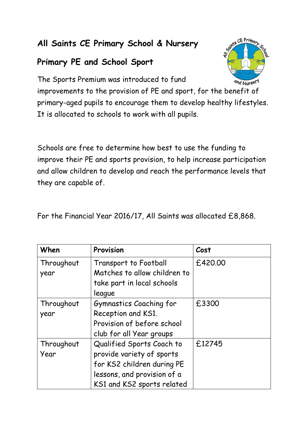## **All Saints CE Primary School & Nursery**

## **Primary PE and School Sport**



The Sports Premium was introduced to fund

improvements to the provision of PE and sport, for the benefit of primary-aged pupils to encourage them to develop healthy lifestyles. It is allocated to schools to work with all pupils.

Schools are free to determine how best to use the funding to improve their PE and sports provision, to help increase participation and allow children to develop and reach the performance levels that they are capable of.

For the Financial Year 2016/17, All Saints was allocated £8,868.

| When       | Provision                    | Cost    |
|------------|------------------------------|---------|
| Throughout | Transport to Football        | £420.00 |
| year       | Matches to allow children to |         |
|            | take part in local schools   |         |
|            | league                       |         |
| Throughout | Gymnastics Coaching for      | £3300   |
| year       | Reception and KS1.           |         |
|            | Provision of before school   |         |
|            | club for all Year groups     |         |
| Throughout | Qualified Sports Coach to    | £12745  |
| Year       | provide variety of sports    |         |
|            | for KS2 children during PE   |         |
|            | lessons, and provision of a  |         |
|            | KS1 and KS2 sports related   |         |